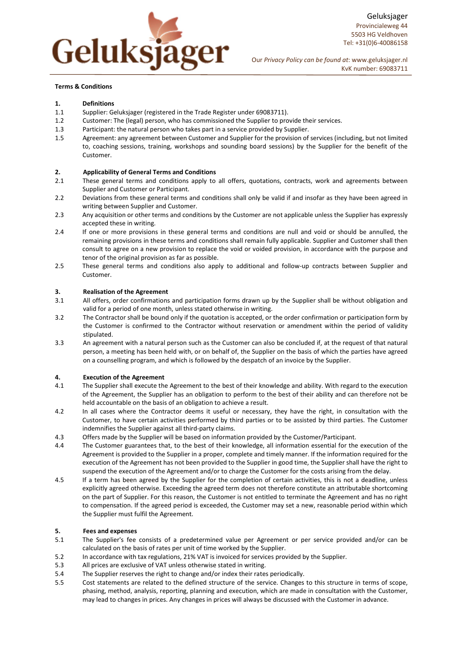

## Terms & Conditions

## 1. Definitions

- 1.1 Supplier: Geluksjager (registered in the Trade Register under 69083711).
- 1.2 Customer: The (legal) person, who has commissioned the Supplier to provide their services.
- 1.3 Participant: the natural person who takes part in a service provided by Supplier.
- 1.5 Agreement: any agreement between Customer and Supplier for the provision of services (including, but not limited to, coaching sessions, training, workshops and sounding board sessions) by the Supplier for the benefit of the Customer.

### 2. Applicability of General Terms and Conditions

- 2.1 These general terms and conditions apply to all offers, quotations, contracts, work and agreements between Supplier and Customer or Participant.
- 2.2 Deviations from these general terms and conditions shall only be valid if and insofar as they have been agreed in writing between Supplier and Customer.
- 2.3 Any acquisition or other terms and conditions by the Customer are not applicable unless the Supplier has expressly accepted these in writing.
- 2.4 If one or more provisions in these general terms and conditions are null and void or should be annulled, the remaining provisions in these terms and conditions shall remain fully applicable. Supplier and Customer shall then consult to agree on a new provision to replace the void or voided provision, in accordance with the purpose and tenor of the original provision as far as possible.
- 2.5 These general terms and conditions also apply to additional and follow-up contracts between Supplier and Customer.

#### 3. Realisation of the Agreement

- 3.1 All offers, order confirmations and participation forms drawn up by the Supplier shall be without obligation and valid for a period of one month, unless stated otherwise in writing.
- 3.2 The Contractor shall be bound only if the quotation is accepted, or the order confirmation or participation form by the Customer is confirmed to the Contractor without reservation or amendment within the period of validity stipulated.
- 3.3 An agreement with a natural person such as the Customer can also be concluded if, at the request of that natural person, a meeting has been held with, or on behalf of, the Supplier on the basis of which the parties have agreed on a counselling program, and which is followed by the despatch of an invoice by the Supplier.

### 4. Execution of the Agreement

- 4.1 The Supplier shall execute the Agreement to the best of their knowledge and ability. With regard to the execution of the Agreement, the Supplier has an obligation to perform to the best of their ability and can therefore not be held accountable on the basis of an obligation to achieve a result.
- 4.2 In all cases where the Contractor deems it useful or necessary, they have the right, in consultation with the Customer, to have certain activities performed by third parties or to be assisted by third parties. The Customer indemnifies the Supplier against all third-party claims.
- 4.3 Offers made by the Supplier will be based on information provided by the Customer/Participant.
- 4.4 The Customer guarantees that, to the best of their knowledge, all information essential for the execution of the Agreement is provided to the Supplier in a proper, complete and timely manner. If the information required for the execution of the Agreement has not been provided to the Supplier in good time, the Supplier shall have the right to suspend the execution of the Agreement and/or to charge the Customer for the costs arising from the delay.
- 4.5 If a term has been agreed by the Supplier for the completion of certain activities, this is not a deadline, unless explicitly agreed otherwise. Exceeding the agreed term does not therefore constitute an attributable shortcoming on the part of Supplier. For this reason, the Customer is not entitled to terminate the Agreement and has no right to compensation. If the agreed period is exceeded, the Customer may set a new, reasonable period within which the Supplier must fulfil the Agreement.

## 5. Fees and expenses

- 5.1 The Supplier's fee consists of a predetermined value per Agreement or per service provided and/or can be calculated on the basis of rates per unit of time worked by the Supplier.
- 5.2 In accordance with tax regulations, 21% VAT is invoiced for services provided by the Supplier.
- 5.3 All prices are exclusive of VAT unless otherwise stated in writing.
- 5.4 The Supplier reserves the right to change and/or index their rates periodically.
- 5.5 Cost statements are related to the defined structure of the service. Changes to this structure in terms of scope, phasing, method, analysis, reporting, planning and execution, which are made in consultation with the Customer, may lead to changes in prices. Any changes in prices will always be discussed with the Customer in advance.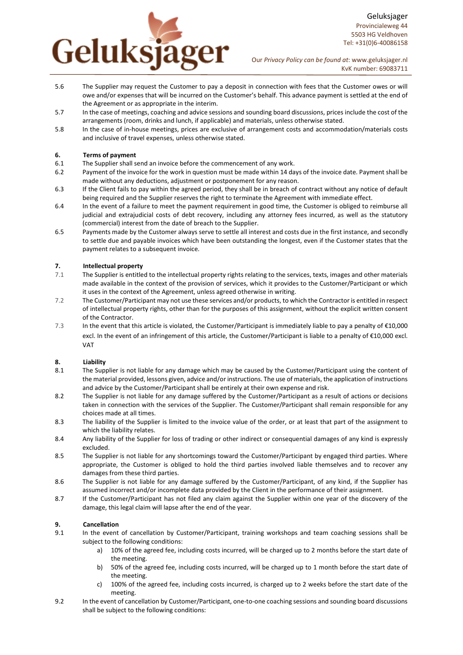

Geluksjager Provincialeweg 44 5503 HG Veldhoven Tel: +31(0)6-40086158

Our Privacy Policy can be found at: www.geluksjager.nl KvK number: 69083711

- 5.6 The Supplier may request the Customer to pay a deposit in connection with fees that the Customer owes or will owe and/or expenses that will be incurred on the Customer's behalf. This advance payment is settled at the end of the Agreement or as appropriate in the interim.
- 5.7 In the case of meetings, coaching and advice sessions and sounding board discussions, prices include the cost of the arrangements (room, drinks and lunch, if applicable) and materials, unless otherwise stated.
- 5.8 In the case of in-house meetings, prices are exclusive of arrangement costs and accommodation/materials costs and inclusive of travel expenses, unless otherwise stated.

## 6. Terms of payment

- 6.1 The Supplier shall send an invoice before the commencement of any work.
- 6.2 Payment of the invoice for the work in question must be made within 14 days of the invoice date. Payment shall be made without any deductions, adjustment or postponement for any reason.
- 6.3 If the Client fails to pay within the agreed period, they shall be in breach of contract without any notice of default being required and the Supplier reserves the right to terminate the Agreement with immediate effect.
- 6.4 In the event of a failure to meet the payment requirement in good time, the Customer is obliged to reimburse all judicial and extrajudicial costs of debt recovery, including any attorney fees incurred, as well as the statutory (commercial) interest from the date of breach to the Supplier.
- 6.5 Payments made by the Customer always serve to settle all interest and costs due in the first instance, and secondly to settle due and payable invoices which have been outstanding the longest, even if the Customer states that the payment relates to a subsequent invoice.

# 7. Intellectual property

- 7.1 The Supplier is entitled to the intellectual property rights relating to the services, texts, images and other materials made available in the context of the provision of services, which it provides to the Customer/Participant or which it uses in the context of the Agreement, unless agreed otherwise in writing.
- 7.2 The Customer/Participant may not use these services and/or products, to which the Contractor is entitled in respect of intellectual property rights, other than for the purposes of this assignment, without the explicit written consent of the Contractor.
- 7.3 In the event that this article is violated, the Customer/Participant is immediately liable to pay a penalty of €10,000 excl. In the event of an infringement of this article, the Customer/Participant is liable to a penalty of €10,000 excl. VAT

## 8. Liability

- 8.1 The Supplier is not liable for any damage which may be caused by the Customer/Participant using the content of the material provided, lessons given, advice and/or instructions. The use of materials, the application of instructions and advice by the Customer/Participant shall be entirely at their own expense and risk.
- 8.2 The Supplier is not liable for any damage suffered by the Customer/Participant as a result of actions or decisions taken in connection with the services of the Supplier. The Customer/Participant shall remain responsible for any choices made at all times.
- 8.3 The liability of the Supplier is limited to the invoice value of the order, or at least that part of the assignment to which the liability relates.
- 8.4 Any liability of the Supplier for loss of trading or other indirect or consequential damages of any kind is expressly excluded.
- 8.5 The Supplier is not liable for any shortcomings toward the Customer/Participant by engaged third parties. Where appropriate, the Customer is obliged to hold the third parties involved liable themselves and to recover any damages from these third parties.
- 8.6 The Supplier is not liable for any damage suffered by the Customer/Participant, of any kind, if the Supplier has assumed incorrect and/or incomplete data provided by the Client in the performance of their assignment.
- 8.7 If the Customer/Participant has not filed any claim against the Supplier within one year of the discovery of the damage, this legal claim will lapse after the end of the year.

# 9. Cancellation

- 9.1 In the event of cancellation by Customer/Participant, training workshops and team coaching sessions shall be subject to the following conditions:
	- a) 10% of the agreed fee, including costs incurred, will be charged up to 2 months before the start date of the meeting.
	- b) 50% of the agreed fee, including costs incurred, will be charged up to 1 month before the start date of the meeting.
	- c) 100% of the agreed fee, including costs incurred, is charged up to 2 weeks before the start date of the meeting.
- 9.2 In the event of cancellation by Customer/Participant, one-to-one coaching sessions and sounding board discussions shall be subject to the following conditions: